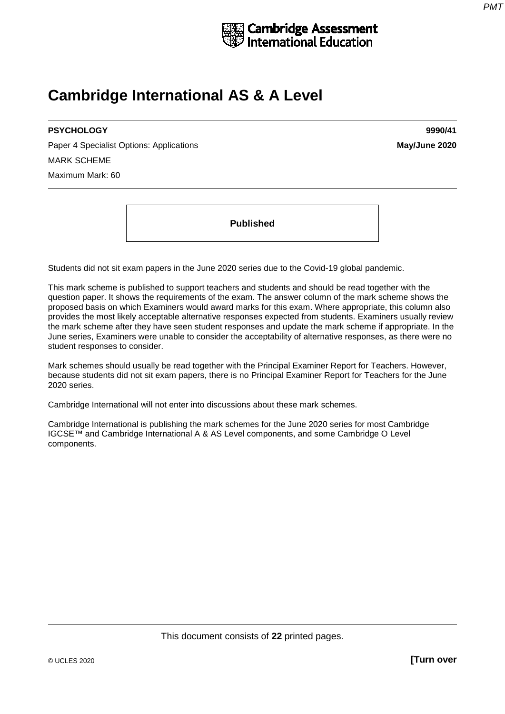

# **Cambridge International AS & A Level**

## **PSYCHOLOGY 9990/41**

Paper 4 Specialist Options: Applications **May/June 2020** MARK SCHEME Maximum Mark: 60

**Published**

Students did not sit exam papers in the June 2020 series due to the Covid-19 global pandemic.

This mark scheme is published to support teachers and students and should be read together with the question paper. It shows the requirements of the exam. The answer column of the mark scheme shows the proposed basis on which Examiners would award marks for this exam. Where appropriate, this column also provides the most likely acceptable alternative responses expected from students. Examiners usually review the mark scheme after they have seen student responses and update the mark scheme if appropriate. In the June series, Examiners were unable to consider the acceptability of alternative responses, as there were no student responses to consider.

Mark schemes should usually be read together with the Principal Examiner Report for Teachers. However, because students did not sit exam papers, there is no Principal Examiner Report for Teachers for the June 2020 series.

Cambridge International will not enter into discussions about these mark schemes.

Cambridge International is publishing the mark schemes for the June 2020 series for most Cambridge IGCSE™ and Cambridge International A & AS Level components, and some Cambridge O Level components.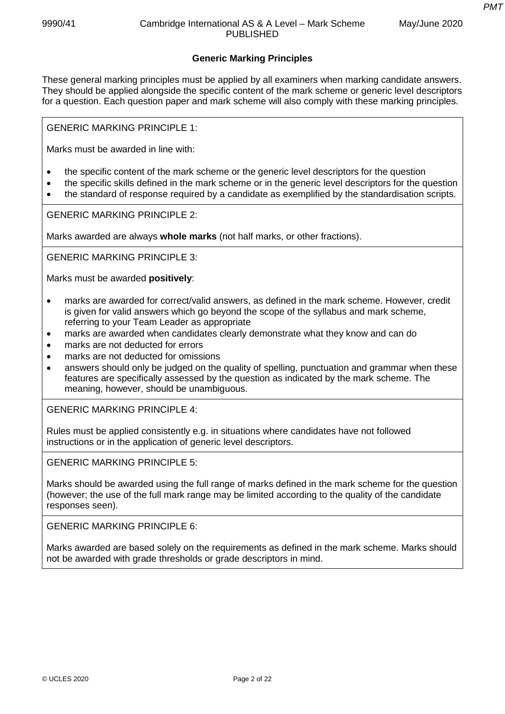## **Generic Marking Principles**

These general marking principles must be applied by all examiners when marking candidate answers. They should be applied alongside the specific content of the mark scheme or generic level descriptors for a question. Each question paper and mark scheme will also comply with these marking principles.

GENERIC MARKING PRINCIPLE 1:

Marks must be awarded in line with:

- the specific content of the mark scheme or the generic level descriptors for the question
- the specific skills defined in the mark scheme or in the generic level descriptors for the question
- the standard of response required by a candidate as exemplified by the standardisation scripts.

GENERIC MARKING PRINCIPLE 2:

Marks awarded are always **whole marks** (not half marks, or other fractions).

GENERIC MARKING PRINCIPLE 3:

Marks must be awarded **positively**:

- marks are awarded for correct/valid answers, as defined in the mark scheme. However, credit is given for valid answers which go beyond the scope of the syllabus and mark scheme, referring to your Team Leader as appropriate
- marks are awarded when candidates clearly demonstrate what they know and can do
- marks are not deducted for errors
- marks are not deducted for omissions
- answers should only be judged on the quality of spelling, punctuation and grammar when these features are specifically assessed by the question as indicated by the mark scheme. The meaning, however, should be unambiguous.

GENERIC MARKING PRINCIPLE 4:

Rules must be applied consistently e.g. in situations where candidates have not followed instructions or in the application of generic level descriptors.

GENERIC MARKING PRINCIPLE 5:

Marks should be awarded using the full range of marks defined in the mark scheme for the question (however; the use of the full mark range may be limited according to the quality of the candidate responses seen).

GENERIC MARKING PRINCIPLE 6:

Marks awarded are based solely on the requirements as defined in the mark scheme. Marks should not be awarded with grade thresholds or grade descriptors in mind.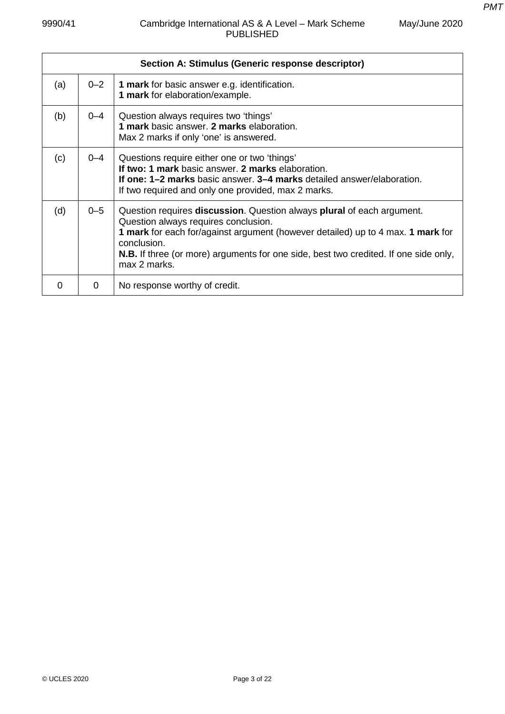| May/June 2020 |  |
|---------------|--|
|---------------|--|

|     |          | Section A: Stimulus (Generic response descriptor)                                                                                                                                                                                                                                                                               |
|-----|----------|---------------------------------------------------------------------------------------------------------------------------------------------------------------------------------------------------------------------------------------------------------------------------------------------------------------------------------|
| (a) | $0 - 2$  | 1 mark for basic answer e.g. identification.<br>1 mark for elaboration/example.                                                                                                                                                                                                                                                 |
| (b) | 0–4      | Question always requires two 'things'<br>1 mark basic answer. 2 marks elaboration.<br>Max 2 marks if only 'one' is answered.                                                                                                                                                                                                    |
| (c) | $0 - 4$  | Questions require either one or two 'things'<br>If two: 1 mark basic answer. 2 marks elaboration.<br><b>If one: 1–2 marks</b> basic answer, 3–4 marks detailed answer/elaboration.<br>If two required and only one provided, max 2 marks.                                                                                       |
| (d) | $0 - 5$  | Question requires discussion. Question always plural of each argument.<br>Question always requires conclusion.<br>1 mark for each for/against argument (however detailed) up to 4 max. 1 mark for<br>conclusion.<br><b>N.B.</b> If three (or more) arguments for one side, best two credited. If one side only,<br>max 2 marks. |
| 0   | $\Omega$ | No response worthy of credit.                                                                                                                                                                                                                                                                                                   |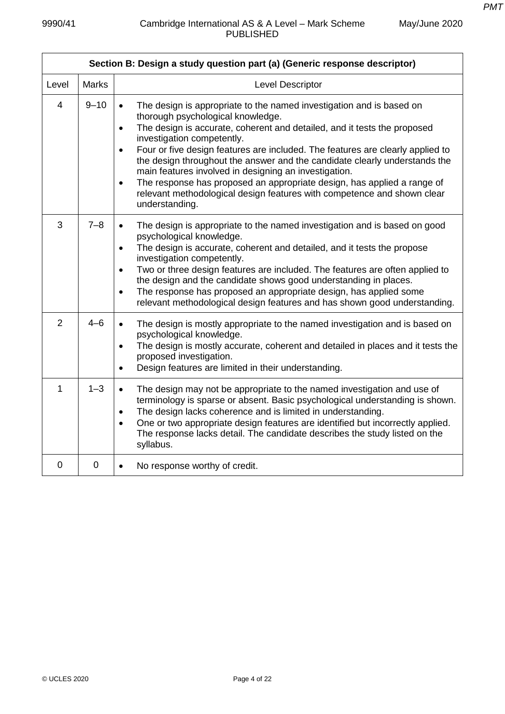| Section B: Design a study question part (a) (Generic response descriptor) |                |                                                                                                                                                                                                                                                                                                                                                                                                                                                                                                                                                                                                                                                                          |  |
|---------------------------------------------------------------------------|----------------|--------------------------------------------------------------------------------------------------------------------------------------------------------------------------------------------------------------------------------------------------------------------------------------------------------------------------------------------------------------------------------------------------------------------------------------------------------------------------------------------------------------------------------------------------------------------------------------------------------------------------------------------------------------------------|--|
| Level                                                                     | <b>Marks</b>   | Level Descriptor                                                                                                                                                                                                                                                                                                                                                                                                                                                                                                                                                                                                                                                         |  |
| $\overline{4}$                                                            | $9 - 10$       | The design is appropriate to the named investigation and is based on<br>$\bullet$<br>thorough psychological knowledge.<br>The design is accurate, coherent and detailed, and it tests the proposed<br>$\bullet$<br>investigation competently.<br>Four or five design features are included. The features are clearly applied to<br>$\bullet$<br>the design throughout the answer and the candidate clearly understands the<br>main features involved in designing an investigation.<br>The response has proposed an appropriate design, has applied a range of<br>$\bullet$<br>relevant methodological design features with competence and shown clear<br>understanding. |  |
| 3                                                                         | $7 - 8$        | The design is appropriate to the named investigation and is based on good<br>$\bullet$<br>psychological knowledge.<br>The design is accurate, coherent and detailed, and it tests the propose<br>$\bullet$<br>investigation competently.<br>Two or three design features are included. The features are often applied to<br>$\bullet$<br>the design and the candidate shows good understanding in places.<br>The response has proposed an appropriate design, has applied some<br>$\bullet$<br>relevant methodological design features and has shown good understanding.                                                                                                 |  |
| $\overline{2}$                                                            | $4 - 6$        | The design is mostly appropriate to the named investigation and is based on<br>$\bullet$<br>psychological knowledge.<br>The design is mostly accurate, coherent and detailed in places and it tests the<br>$\bullet$<br>proposed investigation.<br>Design features are limited in their understanding.<br>$\bullet$                                                                                                                                                                                                                                                                                                                                                      |  |
| 1                                                                         | $1 - 3$        | The design may not be appropriate to the named investigation and use of<br>$\bullet$<br>terminology is sparse or absent. Basic psychological understanding is shown.<br>The design lacks coherence and is limited in understanding.<br>$\bullet$<br>One or two appropriate design features are identified but incorrectly applied.<br>$\bullet$<br>The response lacks detail. The candidate describes the study listed on the<br>syllabus.                                                                                                                                                                                                                               |  |
| $\overline{0}$                                                            | $\overline{0}$ | No response worthy of credit.<br>$\bullet$                                                                                                                                                                                                                                                                                                                                                                                                                                                                                                                                                                                                                               |  |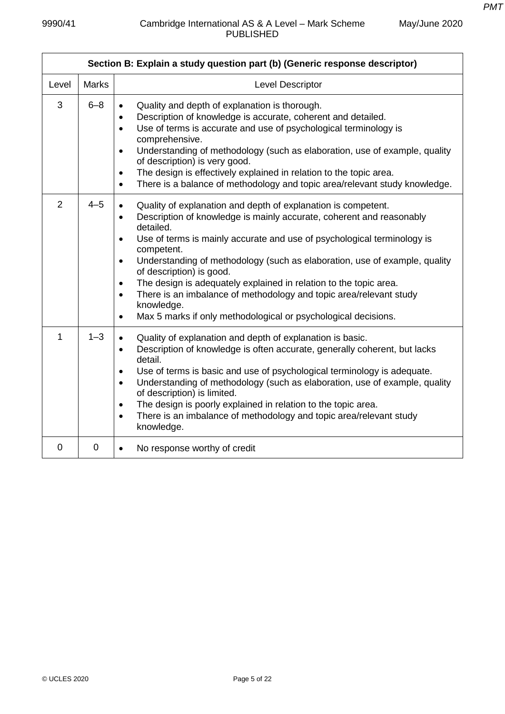| Section B: Explain a study question part (b) (Generic response descriptor) |              |                                                                                                                                                                                                                                                                                                                                                                                                                                                                                                                                                                                                                                                                             |  |
|----------------------------------------------------------------------------|--------------|-----------------------------------------------------------------------------------------------------------------------------------------------------------------------------------------------------------------------------------------------------------------------------------------------------------------------------------------------------------------------------------------------------------------------------------------------------------------------------------------------------------------------------------------------------------------------------------------------------------------------------------------------------------------------------|--|
| Level                                                                      | <b>Marks</b> | Level Descriptor                                                                                                                                                                                                                                                                                                                                                                                                                                                                                                                                                                                                                                                            |  |
| 3                                                                          | $6 - 8$      | Quality and depth of explanation is thorough.<br>Description of knowledge is accurate, coherent and detailed.<br>$\bullet$<br>Use of terms is accurate and use of psychological terminology is<br>$\bullet$<br>comprehensive.<br>Understanding of methodology (such as elaboration, use of example, quality<br>$\bullet$<br>of description) is very good.<br>The design is effectively explained in relation to the topic area.<br>$\bullet$<br>There is a balance of methodology and topic area/relevant study knowledge.<br>$\bullet$                                                                                                                                     |  |
| 2                                                                          | $4 - 5$      | Quality of explanation and depth of explanation is competent.<br>$\bullet$<br>Description of knowledge is mainly accurate, coherent and reasonably<br>$\bullet$<br>detailed.<br>Use of terms is mainly accurate and use of psychological terminology is<br>$\bullet$<br>competent.<br>Understanding of methodology (such as elaboration, use of example, quality<br>$\bullet$<br>of description) is good.<br>The design is adequately explained in relation to the topic area.<br>$\bullet$<br>There is an imbalance of methodology and topic area/relevant study<br>$\bullet$<br>knowledge.<br>Max 5 marks if only methodological or psychological decisions.<br>$\bullet$ |  |
| $\mathbf{1}$                                                               | $1 - 3$      | Quality of explanation and depth of explanation is basic.<br>$\bullet$<br>Description of knowledge is often accurate, generally coherent, but lacks<br>$\bullet$<br>detail.<br>Use of terms is basic and use of psychological terminology is adequate.<br>$\bullet$<br>Understanding of methodology (such as elaboration, use of example, quality<br>$\bullet$<br>of description) is limited.<br>The design is poorly explained in relation to the topic area.<br>$\bullet$<br>There is an imbalance of methodology and topic area/relevant study<br>$\bullet$<br>knowledge.                                                                                                |  |
| 0                                                                          | $\mathbf 0$  | No response worthy of credit<br>$\bullet$                                                                                                                                                                                                                                                                                                                                                                                                                                                                                                                                                                                                                                   |  |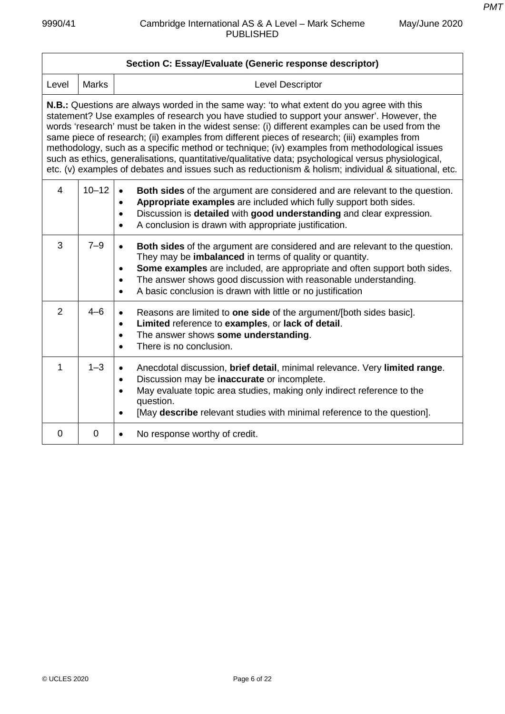| Section C: Essay/Evaluate (Generic response descriptor)                                                                                                                                                                                                                                                                                                                                                                                                                                                                                                                                                                                                                                                            |                |                                                                                                                                                                                                                                                                                                                                                                                                           |
|--------------------------------------------------------------------------------------------------------------------------------------------------------------------------------------------------------------------------------------------------------------------------------------------------------------------------------------------------------------------------------------------------------------------------------------------------------------------------------------------------------------------------------------------------------------------------------------------------------------------------------------------------------------------------------------------------------------------|----------------|-----------------------------------------------------------------------------------------------------------------------------------------------------------------------------------------------------------------------------------------------------------------------------------------------------------------------------------------------------------------------------------------------------------|
| Level                                                                                                                                                                                                                                                                                                                                                                                                                                                                                                                                                                                                                                                                                                              | <b>Marks</b>   | Level Descriptor                                                                                                                                                                                                                                                                                                                                                                                          |
| <b>N.B.:</b> Questions are always worded in the same way: 'to what extent do you agree with this<br>statement? Use examples of research you have studied to support your answer'. However, the<br>words 'research' must be taken in the widest sense: (i) different examples can be used from the<br>same piece of research; (ii) examples from different pieces of research; (iii) examples from<br>methodology, such as a specific method or technique; (iv) examples from methodological issues<br>such as ethics, generalisations, quantitative/qualitative data; psychological versus physiological,<br>etc. (v) examples of debates and issues such as reductionism & holism; individual & situational, etc. |                |                                                                                                                                                                                                                                                                                                                                                                                                           |
| $\overline{4}$                                                                                                                                                                                                                                                                                                                                                                                                                                                                                                                                                                                                                                                                                                     | $10 - 12$      | Both sides of the argument are considered and are relevant to the question.<br>$\bullet$<br>Appropriate examples are included which fully support both sides.<br>$\bullet$<br>Discussion is detailed with good understanding and clear expression.<br>$\bullet$<br>A conclusion is drawn with appropriate justification.<br>$\bullet$                                                                     |
| 3                                                                                                                                                                                                                                                                                                                                                                                                                                                                                                                                                                                                                                                                                                                  | $7 - 9$        | Both sides of the argument are considered and are relevant to the question.<br>$\bullet$<br>They may be imbalanced in terms of quality or quantity.<br>Some examples are included, are appropriate and often support both sides.<br>$\bullet$<br>The answer shows good discussion with reasonable understanding.<br>$\bullet$<br>A basic conclusion is drawn with little or no justification<br>$\bullet$ |
| $\overline{2}$                                                                                                                                                                                                                                                                                                                                                                                                                                                                                                                                                                                                                                                                                                     | $4 - 6$        | Reasons are limited to one side of the argument/[both sides basic].<br>Limited reference to examples, or lack of detail.<br>$\bullet$<br>The answer shows some understanding.<br>$\bullet$<br>There is no conclusion.<br>$\bullet$                                                                                                                                                                        |
| 1                                                                                                                                                                                                                                                                                                                                                                                                                                                                                                                                                                                                                                                                                                                  | $1 - 3$        | Anecdotal discussion, brief detail, minimal relevance. Very limited range.<br>$\bullet$<br>Discussion may be inaccurate or incomplete.<br>$\bullet$<br>May evaluate topic area studies, making only indirect reference to the<br>$\bullet$<br>question.<br>[May describe relevant studies with minimal reference to the question].<br>$\bullet$                                                           |
| 0                                                                                                                                                                                                                                                                                                                                                                                                                                                                                                                                                                                                                                                                                                                  | $\overline{0}$ | No response worthy of credit.                                                                                                                                                                                                                                                                                                                                                                             |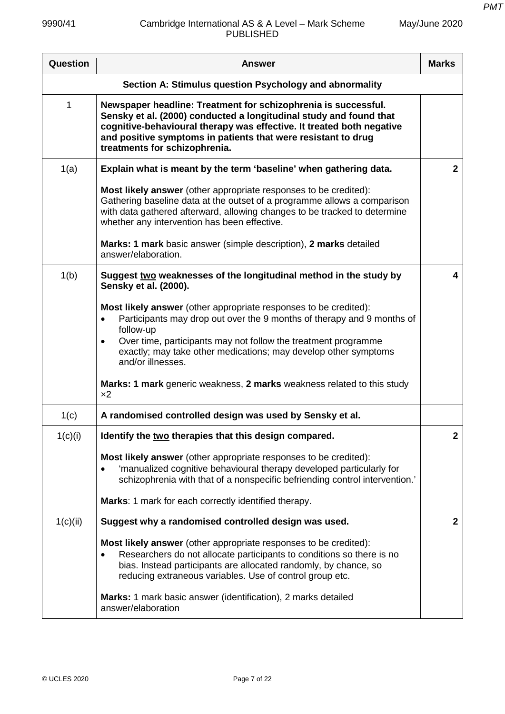| Question | <b>Answer</b>                                                                                                                                                                                                                                                                                                                                      | <b>Marks</b> |
|----------|----------------------------------------------------------------------------------------------------------------------------------------------------------------------------------------------------------------------------------------------------------------------------------------------------------------------------------------------------|--------------|
|          | Section A: Stimulus question Psychology and abnormality                                                                                                                                                                                                                                                                                            |              |
| 1        | Newspaper headline: Treatment for schizophrenia is successful.<br>Sensky et al. (2000) conducted a longitudinal study and found that<br>cognitive-behavioural therapy was effective. It treated both negative<br>and positive symptoms in patients that were resistant to drug<br>treatments for schizophrenia.                                    |              |
| 1(a)     | Explain what is meant by the term 'baseline' when gathering data.                                                                                                                                                                                                                                                                                  | $\mathbf{2}$ |
|          | <b>Most likely answer</b> (other appropriate responses to be credited):<br>Gathering baseline data at the outset of a programme allows a comparison<br>with data gathered afterward, allowing changes to be tracked to determine<br>whether any intervention has been effective.                                                                   |              |
|          | Marks: 1 mark basic answer (simple description), 2 marks detailed<br>answer/elaboration.                                                                                                                                                                                                                                                           |              |
| 1(b)     | Suggest two weaknesses of the longitudinal method in the study by<br>Sensky et al. (2000).                                                                                                                                                                                                                                                         | 4            |
|          | <b>Most likely answer</b> (other appropriate responses to be credited):<br>Participants may drop out over the 9 months of therapy and 9 months of<br>$\bullet$<br>follow-up<br>Over time, participants may not follow the treatment programme<br>$\bullet$<br>exactly; may take other medications; may develop other symptoms<br>and/or illnesses. |              |
|          | Marks: 1 mark generic weakness, 2 marks weakness related to this study<br>x2                                                                                                                                                                                                                                                                       |              |
| 1(c)     | A randomised controlled design was used by Sensky et al.                                                                                                                                                                                                                                                                                           |              |
| 1(c)(i)  | Identify the two therapies that this design compared.                                                                                                                                                                                                                                                                                              | $\mathbf{2}$ |
|          | Most likely answer (other appropriate responses to be credited):<br>'manualized cognitive behavioural therapy developed particularly for<br>schizophrenia with that of a nonspecific befriending control intervention.'                                                                                                                            |              |
|          | Marks: 1 mark for each correctly identified therapy.                                                                                                                                                                                                                                                                                               |              |
| 1(c)(ii) | Suggest why a randomised controlled design was used.                                                                                                                                                                                                                                                                                               | $\mathbf{2}$ |
|          | Most likely answer (other appropriate responses to be credited):<br>Researchers do not allocate participants to conditions so there is no<br>bias. Instead participants are allocated randomly, by chance, so<br>reducing extraneous variables. Use of control group etc.                                                                          |              |
|          | Marks: 1 mark basic answer (identification), 2 marks detailed<br>answer/elaboration                                                                                                                                                                                                                                                                |              |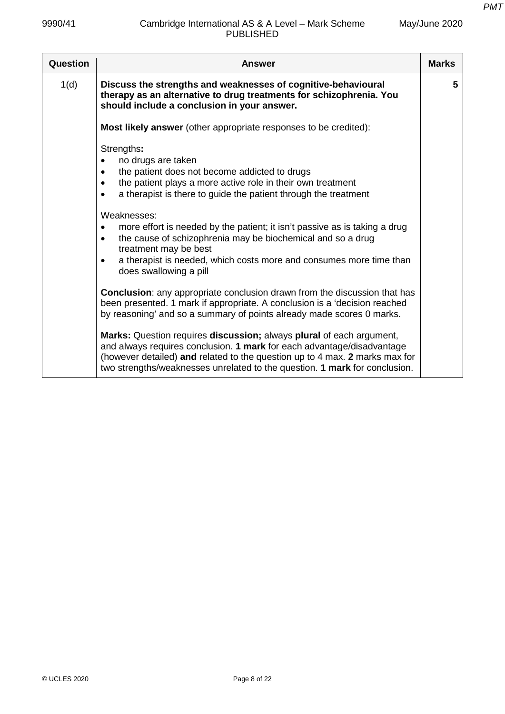| May/June 2020 |  |
|---------------|--|
|---------------|--|

| 1(d)                                                                                                                                        | Discuss the strengths and weaknesses of cognitive-behavioural                                                                                                                                                                                                                                                                                                                                                                                                                                                                                                                                                                                                                                                                                                                                                                                                                                                                                                 |   |
|---------------------------------------------------------------------------------------------------------------------------------------------|---------------------------------------------------------------------------------------------------------------------------------------------------------------------------------------------------------------------------------------------------------------------------------------------------------------------------------------------------------------------------------------------------------------------------------------------------------------------------------------------------------------------------------------------------------------------------------------------------------------------------------------------------------------------------------------------------------------------------------------------------------------------------------------------------------------------------------------------------------------------------------------------------------------------------------------------------------------|---|
|                                                                                                                                             | therapy as an alternative to drug treatments for schizophrenia. You<br>should include a conclusion in your answer.                                                                                                                                                                                                                                                                                                                                                                                                                                                                                                                                                                                                                                                                                                                                                                                                                                            | 5 |
|                                                                                                                                             | Most likely answer (other appropriate responses to be credited):                                                                                                                                                                                                                                                                                                                                                                                                                                                                                                                                                                                                                                                                                                                                                                                                                                                                                              |   |
| Strengths:<br>no drugs are taken<br>٠<br>٠<br>٠<br>$\bullet$<br>Weaknesses:<br>treatment may be best<br>$\bullet$<br>does swallowing a pill | the patient does not become addicted to drugs<br>the patient plays a more active role in their own treatment<br>a therapist is there to guide the patient through the treatment<br>more effort is needed by the patient; it isn't passive as is taking a drug<br>the cause of schizophrenia may be biochemical and so a drug<br>a therapist is needed, which costs more and consumes more time than<br><b>Conclusion:</b> any appropriate conclusion drawn from the discussion that has<br>been presented. 1 mark if appropriate. A conclusion is a 'decision reached<br>by reasoning' and so a summary of points already made scores 0 marks.<br>Marks: Question requires discussion; always plural of each argument,<br>and always requires conclusion. 1 mark for each advantage/disadvantage<br>(however detailed) and related to the question up to 4 max. 2 marks max for<br>two strengths/weaknesses unrelated to the question. 1 mark for conclusion. |   |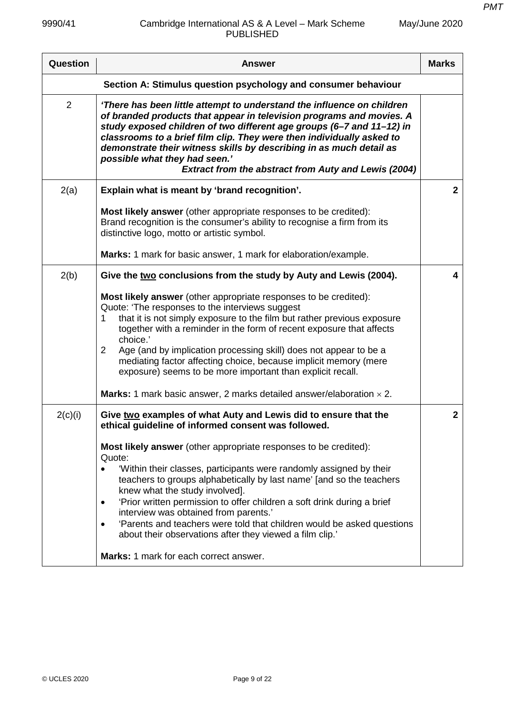| Question       | <b>Answer</b>                                                                                                                                                                                                                                                                                                                                                                                                                                                                                                                                                                                                                                                                                          | <b>Marks</b> |
|----------------|--------------------------------------------------------------------------------------------------------------------------------------------------------------------------------------------------------------------------------------------------------------------------------------------------------------------------------------------------------------------------------------------------------------------------------------------------------------------------------------------------------------------------------------------------------------------------------------------------------------------------------------------------------------------------------------------------------|--------------|
|                | Section A: Stimulus question psychology and consumer behaviour                                                                                                                                                                                                                                                                                                                                                                                                                                                                                                                                                                                                                                         |              |
| $\overline{2}$ | 'There has been little attempt to understand the influence on children<br>of branded products that appear in television programs and movies. A<br>study exposed children of two different age groups (6-7 and 11-12) in<br>classrooms to a brief film clip. They were then individually asked to<br>demonstrate their witness skills by describing in as much detail as<br>possible what they had seen.'<br><b>Extract from the abstract from Auty and Lewis (2004)</b>                                                                                                                                                                                                                                |              |
| 2(a)           | Explain what is meant by 'brand recognition'.                                                                                                                                                                                                                                                                                                                                                                                                                                                                                                                                                                                                                                                          | $\mathbf{2}$ |
|                | Most likely answer (other appropriate responses to be credited):<br>Brand recognition is the consumer's ability to recognise a firm from its<br>distinctive logo, motto or artistic symbol.                                                                                                                                                                                                                                                                                                                                                                                                                                                                                                            |              |
|                | Marks: 1 mark for basic answer, 1 mark for elaboration/example.                                                                                                                                                                                                                                                                                                                                                                                                                                                                                                                                                                                                                                        |              |
| 2(b)           | Give the two conclusions from the study by Auty and Lewis (2004).<br>Most likely answer (other appropriate responses to be credited):<br>Quote: 'The responses to the interviews suggest<br>that it is not simply exposure to the film but rather previous exposure<br>1<br>together with a reminder in the form of recent exposure that affects<br>choice.'<br>Age (and by implication processing skill) does not appear to be a<br>$\overline{2}$<br>mediating factor affecting choice, because implicit memory (mere<br>exposure) seems to be more important than explicit recall.<br><b>Marks:</b> 1 mark basic answer, 2 marks detailed answer/elaboration $\times$ 2.                            | 4            |
| 2(c)(i)        | Give two examples of what Auty and Lewis did to ensure that the<br>ethical guideline of informed consent was followed.<br>Most likely answer (other appropriate responses to be credited):<br>Quote:<br>'Within their classes, participants were randomly assigned by their<br>teachers to groups alphabetically by last name' [and so the teachers<br>knew what the study involved].<br>'Prior written permission to offer children a soft drink during a brief<br>$\bullet$<br>interview was obtained from parents.'<br>'Parents and teachers were told that children would be asked questions<br>about their observations after they viewed a film clip.'<br>Marks: 1 mark for each correct answer. | $\mathbf{2}$ |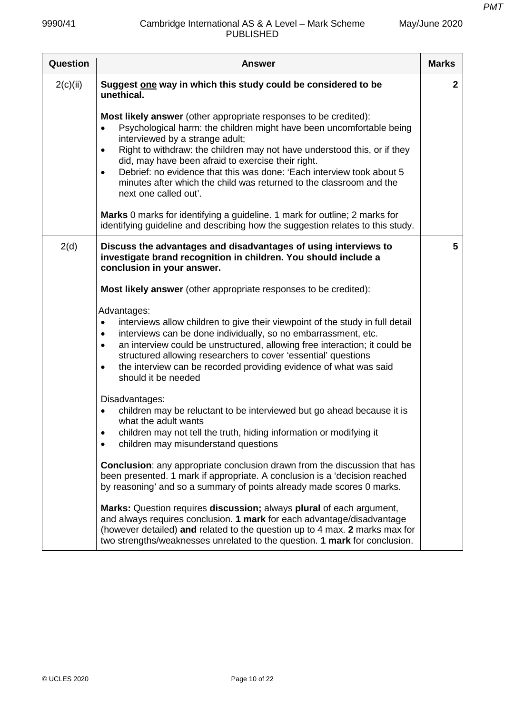| Question | <b>Answer</b>                                                                                                                                                                                                                                                                                                                                                                                                                                                                                                                 | <b>Marks</b> |
|----------|-------------------------------------------------------------------------------------------------------------------------------------------------------------------------------------------------------------------------------------------------------------------------------------------------------------------------------------------------------------------------------------------------------------------------------------------------------------------------------------------------------------------------------|--------------|
| 2(c)(ii) | Suggest one way in which this study could be considered to be<br>unethical.                                                                                                                                                                                                                                                                                                                                                                                                                                                   | $\mathbf{2}$ |
|          | Most likely answer (other appropriate responses to be credited):<br>Psychological harm: the children might have been uncomfortable being<br>$\bullet$<br>interviewed by a strange adult;<br>Right to withdraw: the children may not have understood this, or if they<br>$\bullet$<br>did, may have been afraid to exercise their right.<br>Debrief: no evidence that this was done: 'Each interview took about 5<br>$\bullet$<br>minutes after which the child was returned to the classroom and the<br>next one called out'. |              |
|          | Marks 0 marks for identifying a guideline. 1 mark for outline; 2 marks for<br>identifying guideline and describing how the suggestion relates to this study.                                                                                                                                                                                                                                                                                                                                                                  |              |
| 2(d)     | Discuss the advantages and disadvantages of using interviews to<br>investigate brand recognition in children. You should include a<br>conclusion in your answer.<br>Most likely answer (other appropriate responses to be credited):<br>Advantages:<br>interviews allow children to give their viewpoint of the study in full detail<br>$\bullet$<br>interviews can be done individually, so no embarrassment, etc.<br>$\bullet$<br>an interview could be unstructured, allowing free interaction; it could be<br>$\bullet$   | 5            |
|          | structured allowing researchers to cover 'essential' questions<br>the interview can be recorded providing evidence of what was said<br>$\bullet$<br>should it be needed<br>Disadvantages:                                                                                                                                                                                                                                                                                                                                     |              |
|          | children may be reluctant to be interviewed but go ahead because it is<br>$\bullet$<br>what the adult wants<br>children may not tell the truth, hiding information or modifying it<br>children may misunderstand questions                                                                                                                                                                                                                                                                                                    |              |
|          | <b>Conclusion:</b> any appropriate conclusion drawn from the discussion that has<br>been presented. 1 mark if appropriate. A conclusion is a 'decision reached<br>by reasoning' and so a summary of points already made scores 0 marks.                                                                                                                                                                                                                                                                                       |              |
|          | Marks: Question requires discussion; always plural of each argument,<br>and always requires conclusion. 1 mark for each advantage/disadvantage<br>(however detailed) and related to the question up to 4 max. 2 marks max for<br>two strengths/weaknesses unrelated to the question. 1 mark for conclusion.                                                                                                                                                                                                                   |              |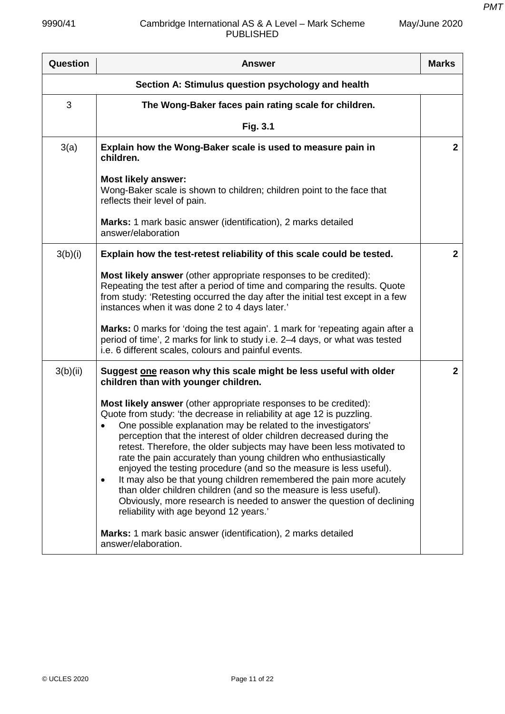| Question                                           | <b>Answer</b>                                                                                                                                                                                                                                                                                                                                                                                                                                                                                                                                                                                                                                                                                                                                                              | <b>Marks</b> |
|----------------------------------------------------|----------------------------------------------------------------------------------------------------------------------------------------------------------------------------------------------------------------------------------------------------------------------------------------------------------------------------------------------------------------------------------------------------------------------------------------------------------------------------------------------------------------------------------------------------------------------------------------------------------------------------------------------------------------------------------------------------------------------------------------------------------------------------|--------------|
| Section A: Stimulus question psychology and health |                                                                                                                                                                                                                                                                                                                                                                                                                                                                                                                                                                                                                                                                                                                                                                            |              |
| 3                                                  | The Wong-Baker faces pain rating scale for children.                                                                                                                                                                                                                                                                                                                                                                                                                                                                                                                                                                                                                                                                                                                       |              |
|                                                    | Fig. 3.1                                                                                                                                                                                                                                                                                                                                                                                                                                                                                                                                                                                                                                                                                                                                                                   |              |
| 3(a)                                               | Explain how the Wong-Baker scale is used to measure pain in<br>children.                                                                                                                                                                                                                                                                                                                                                                                                                                                                                                                                                                                                                                                                                                   | $\mathbf{2}$ |
|                                                    | <b>Most likely answer:</b><br>Wong-Baker scale is shown to children; children point to the face that<br>reflects their level of pain.                                                                                                                                                                                                                                                                                                                                                                                                                                                                                                                                                                                                                                      |              |
|                                                    | <b>Marks:</b> 1 mark basic answer (identification), 2 marks detailed<br>answer/elaboration                                                                                                                                                                                                                                                                                                                                                                                                                                                                                                                                                                                                                                                                                 |              |
| 3(b)(i)                                            | Explain how the test-retest reliability of this scale could be tested.                                                                                                                                                                                                                                                                                                                                                                                                                                                                                                                                                                                                                                                                                                     | $\mathbf{2}$ |
|                                                    | Most likely answer (other appropriate responses to be credited):<br>Repeating the test after a period of time and comparing the results. Quote<br>from study: 'Retesting occurred the day after the initial test except in a few<br>instances when it was done 2 to 4 days later.'                                                                                                                                                                                                                                                                                                                                                                                                                                                                                         |              |
|                                                    | Marks: 0 marks for 'doing the test again'. 1 mark for 'repeating again after a<br>period of time', 2 marks for link to study i.e. 2–4 days, or what was tested<br>i.e. 6 different scales, colours and painful events.                                                                                                                                                                                                                                                                                                                                                                                                                                                                                                                                                     |              |
| 3(b)(ii)                                           | Suggest one reason why this scale might be less useful with older<br>children than with younger children.                                                                                                                                                                                                                                                                                                                                                                                                                                                                                                                                                                                                                                                                  | $\mathbf{2}$ |
|                                                    | Most likely answer (other appropriate responses to be credited):<br>Quote from study: 'the decrease in reliability at age 12 is puzzling.<br>One possible explanation may be related to the investigators'<br>perception that the interest of older children decreased during the<br>retest. Therefore, the older subjects may have been less motivated to<br>rate the pain accurately than young children who enthusiastically<br>enjoyed the testing procedure (and so the measure is less useful).<br>It may also be that young children remembered the pain more acutely<br>٠<br>than older children children (and so the measure is less useful).<br>Obviously, more research is needed to answer the question of declining<br>reliability with age beyond 12 years.' |              |
|                                                    | Marks: 1 mark basic answer (identification), 2 marks detailed<br>answer/elaboration.                                                                                                                                                                                                                                                                                                                                                                                                                                                                                                                                                                                                                                                                                       |              |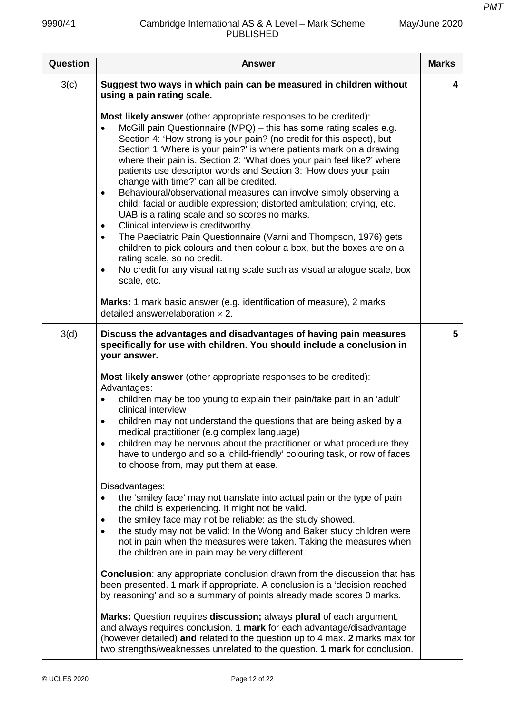| Question | <b>Answer</b>                                                                                                                                                                                                                                                                                                                                                                                                                                                                                                                                                                                                                                                                                                                                                                                                                                                                                                                                                                                                                                                            | <b>Marks</b> |
|----------|--------------------------------------------------------------------------------------------------------------------------------------------------------------------------------------------------------------------------------------------------------------------------------------------------------------------------------------------------------------------------------------------------------------------------------------------------------------------------------------------------------------------------------------------------------------------------------------------------------------------------------------------------------------------------------------------------------------------------------------------------------------------------------------------------------------------------------------------------------------------------------------------------------------------------------------------------------------------------------------------------------------------------------------------------------------------------|--------------|
| 3(c)     | Suggest two ways in which pain can be measured in children without<br>using a pain rating scale.                                                                                                                                                                                                                                                                                                                                                                                                                                                                                                                                                                                                                                                                                                                                                                                                                                                                                                                                                                         | 4            |
|          | <b>Most likely answer</b> (other appropriate responses to be credited):<br>McGill pain Questionnaire (MPQ) – this has some rating scales e.g.<br>$\bullet$<br>Section 4: 'How strong is your pain? (no credit for this aspect), but<br>Section 1 'Where is your pain?' is where patients mark on a drawing<br>where their pain is. Section 2: 'What does your pain feel like?' where<br>patients use descriptor words and Section 3: 'How does your pain<br>change with time?' can all be credited.<br>Behavioural/observational measures can involve simply observing a<br>$\bullet$<br>child: facial or audible expression; distorted ambulation; crying, etc.<br>UAB is a rating scale and so scores no marks.<br>Clinical interview is creditworthy.<br>$\bullet$<br>The Paediatric Pain Questionnaire (Varni and Thompson, 1976) gets<br>$\bullet$<br>children to pick colours and then colour a box, but the boxes are on a<br>rating scale, so no credit.<br>No credit for any visual rating scale such as visual analogue scale, box<br>$\bullet$<br>scale, etc. |              |
|          | Marks: 1 mark basic answer (e.g. identification of measure), 2 marks<br>detailed answer/elaboration $\times$ 2.                                                                                                                                                                                                                                                                                                                                                                                                                                                                                                                                                                                                                                                                                                                                                                                                                                                                                                                                                          |              |
| 3(d)     | Discuss the advantages and disadvantages of having pain measures<br>specifically for use with children. You should include a conclusion in<br>your answer.<br>Most likely answer (other appropriate responses to be credited):<br>Advantages:<br>children may be too young to explain their pain/take part in an 'adult'<br>٠<br>clinical interview<br>children may not understand the questions that are being asked by a<br>٠<br>medical practitioner (e.g complex language)<br>children may be nervous about the practitioner or what procedure they<br>$\bullet$<br>have to undergo and so a 'child-friendly' colouring task, or row of faces<br>to choose from, may put them at ease.<br>Disadvantages:<br>the 'smiley face' may not translate into actual pain or the type of pain<br>the child is experiencing. It might not be valid.<br>the smiley face may not be reliable: as the study showed.<br>$\bullet$                                                                                                                                                  | 5            |
|          | the study may not be valid: In the Wong and Baker study children were<br>$\bullet$<br>not in pain when the measures were taken. Taking the measures when<br>the children are in pain may be very different.<br><b>Conclusion:</b> any appropriate conclusion drawn from the discussion that has<br>been presented. 1 mark if appropriate. A conclusion is a 'decision reached<br>by reasoning' and so a summary of points already made scores 0 marks.<br>Marks: Question requires discussion; always plural of each argument,<br>and always requires conclusion. 1 mark for each advantage/disadvantage<br>(however detailed) and related to the question up to 4 max. 2 marks max for<br>two strengths/weaknesses unrelated to the question. 1 mark for conclusion.                                                                                                                                                                                                                                                                                                    |              |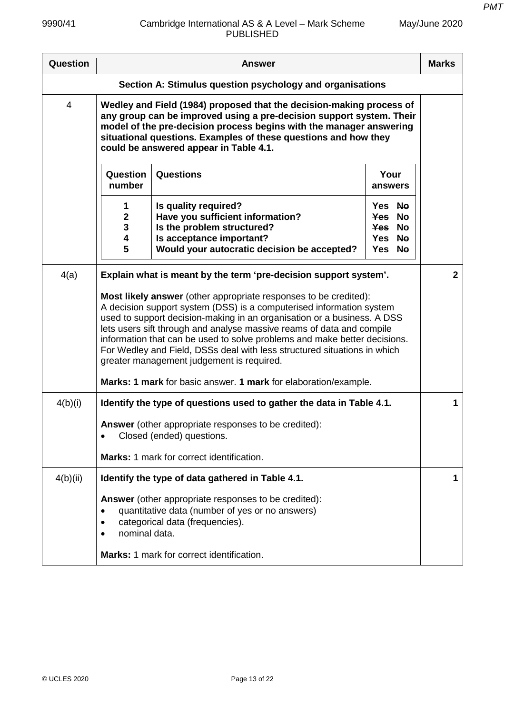| Question                                                  |                                                                                                                                                                                                                                                                                                                                                                                                                                                                                                                                                                       | <b>Answer</b>                                                                                                                                                                                  |                                                | <b>Marks</b>   |
|-----------------------------------------------------------|-----------------------------------------------------------------------------------------------------------------------------------------------------------------------------------------------------------------------------------------------------------------------------------------------------------------------------------------------------------------------------------------------------------------------------------------------------------------------------------------------------------------------------------------------------------------------|------------------------------------------------------------------------------------------------------------------------------------------------------------------------------------------------|------------------------------------------------|----------------|
| Section A: Stimulus question psychology and organisations |                                                                                                                                                                                                                                                                                                                                                                                                                                                                                                                                                                       |                                                                                                                                                                                                |                                                |                |
| 4                                                         | Wedley and Field (1984) proposed that the decision-making process of<br>any group can be improved using a pre-decision support system. Their<br>model of the pre-decision process begins with the manager answering<br>situational questions. Examples of these questions and how they<br>could be answered appear in Table 4.1.                                                                                                                                                                                                                                      |                                                                                                                                                                                                |                                                |                |
|                                                           | Question<br>number                                                                                                                                                                                                                                                                                                                                                                                                                                                                                                                                                    | Questions                                                                                                                                                                                      | Your<br>answers                                |                |
|                                                           | 1<br>$\mathbf 2$<br>3<br>4<br>5                                                                                                                                                                                                                                                                                                                                                                                                                                                                                                                                       | Is quality required?<br>Have you sufficient information?<br>Is the problem structured?<br>Is acceptance important?<br>Would your autocratic decision be accepted?                              | Yes No<br>Yes No<br>Yes No<br>Yes No<br>Yes No |                |
| 4(a)                                                      |                                                                                                                                                                                                                                                                                                                                                                                                                                                                                                                                                                       | Explain what is meant by the term 'pre-decision support system'.                                                                                                                               |                                                | $\overline{2}$ |
|                                                           | Most likely answer (other appropriate responses to be credited):<br>A decision support system (DSS) is a computerised information system<br>used to support decision-making in an organisation or a business. A DSS<br>lets users sift through and analyse massive reams of data and compile<br>information that can be used to solve problems and make better decisions.<br>For Wedley and Field, DSSs deal with less structured situations in which<br>greater management judgement is required.<br>Marks: 1 mark for basic answer. 1 mark for elaboration/example. |                                                                                                                                                                                                |                                                |                |
| 4(b)(i)                                                   |                                                                                                                                                                                                                                                                                                                                                                                                                                                                                                                                                                       | Identify the type of questions used to gather the data in Table 4.1.                                                                                                                           |                                                | 1              |
|                                                           | <b>Answer</b> (other appropriate responses to be credited):<br>Closed (ended) questions.<br>Marks: 1 mark for correct identification.                                                                                                                                                                                                                                                                                                                                                                                                                                 |                                                                                                                                                                                                |                                                |                |
| 4(b)(ii)                                                  |                                                                                                                                                                                                                                                                                                                                                                                                                                                                                                                                                                       | Identify the type of data gathered in Table 4.1.                                                                                                                                               |                                                | 1              |
|                                                           | $\bullet$<br>nominal data.<br>$\bullet$                                                                                                                                                                                                                                                                                                                                                                                                                                                                                                                               | Answer (other appropriate responses to be credited):<br>quantitative data (number of yes or no answers)<br>categorical data (frequencies).<br><b>Marks: 1 mark for correct identification.</b> |                                                |                |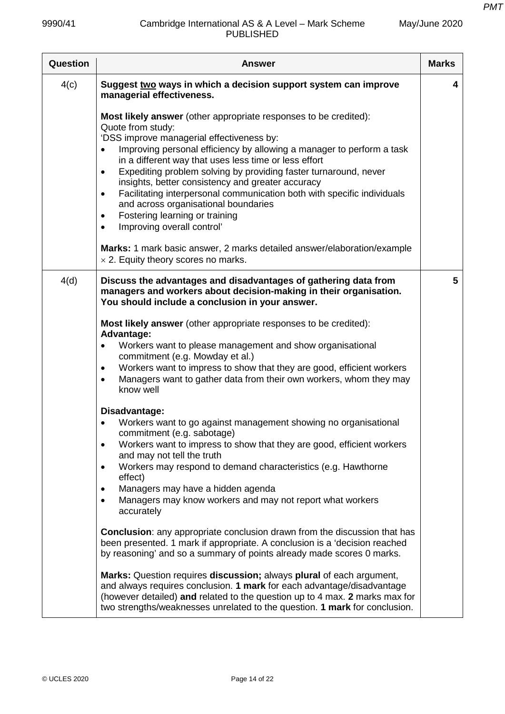| Question | <b>Answer</b>                                                                                                                                                                                                                                                                                                                                                                                                                                                                                                                                                                                                                        | <b>Marks</b>    |
|----------|--------------------------------------------------------------------------------------------------------------------------------------------------------------------------------------------------------------------------------------------------------------------------------------------------------------------------------------------------------------------------------------------------------------------------------------------------------------------------------------------------------------------------------------------------------------------------------------------------------------------------------------|-----------------|
| 4(c)     | Suggest two ways in which a decision support system can improve<br>managerial effectiveness.                                                                                                                                                                                                                                                                                                                                                                                                                                                                                                                                         | 4               |
|          | Most likely answer (other appropriate responses to be credited):<br>Quote from study:<br>'DSS improve managerial effectiveness by:<br>Improving personal efficiency by allowing a manager to perform a task<br>in a different way that uses less time or less effort<br>Expediting problem solving by providing faster turnaround, never<br>$\bullet$<br>insights, better consistency and greater accuracy<br>Facilitating interpersonal communication both with specific individuals<br>$\bullet$<br>and across organisational boundaries<br>Fostering learning or training<br>$\bullet$<br>Improving overall control'<br>$\bullet$ |                 |
|          | Marks: 1 mark basic answer, 2 marks detailed answer/elaboration/example<br>$\times$ 2. Equity theory scores no marks.                                                                                                                                                                                                                                                                                                                                                                                                                                                                                                                |                 |
| 4(d)     | Discuss the advantages and disadvantages of gathering data from<br>managers and workers about decision-making in their organisation.<br>You should include a conclusion in your answer.                                                                                                                                                                                                                                                                                                                                                                                                                                              | $5\phantom{.0}$ |
|          | Most likely answer (other appropriate responses to be credited):<br><b>Advantage:</b><br>Workers want to please management and show organisational<br>$\bullet$<br>commitment (e.g. Mowday et al.)<br>Workers want to impress to show that they are good, efficient workers<br>$\bullet$<br>Managers want to gather data from their own workers, whom they may<br>$\bullet$<br>know well                                                                                                                                                                                                                                             |                 |
|          | Disadvantage:<br>Workers want to go against management showing no organisational<br>commitment (e.g. sabotage)<br>Workers want to impress to show that they are good, efficient workers<br>$\bullet$<br>and may not tell the truth<br>Workers may respond to demand characteristics (e.g. Hawthorne<br>$\bullet$<br>effect)<br>Managers may have a hidden agenda<br>Managers may know workers and may not report what workers<br>$\bullet$<br>accurately<br><b>Conclusion:</b> any appropriate conclusion drawn from the discussion that has                                                                                         |                 |
|          | been presented. 1 mark if appropriate. A conclusion is a 'decision reached<br>by reasoning' and so a summary of points already made scores 0 marks.<br>Marks: Question requires discussion; always plural of each argument,<br>and always requires conclusion. 1 mark for each advantage/disadvantage<br>(however detailed) and related to the question up to 4 max. 2 marks max for<br>two strengths/weaknesses unrelated to the question. 1 mark for conclusion.                                                                                                                                                                   |                 |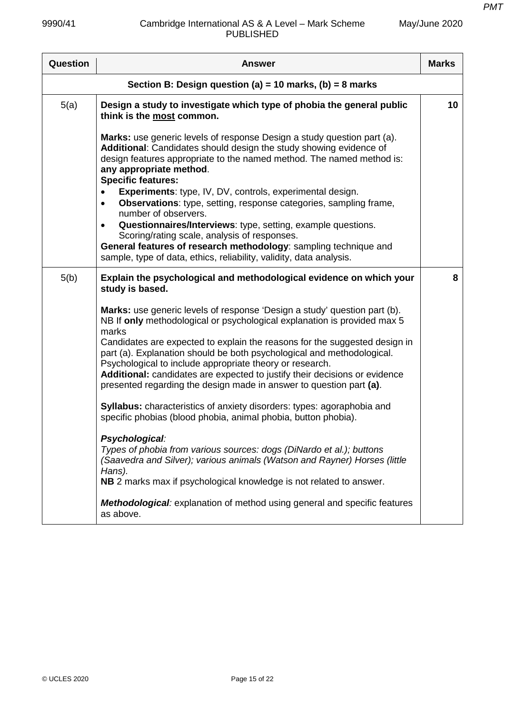|  | May/June 2020 |
|--|---------------|
|--|---------------|

| Question | <b>Answer</b>                                                                                                                                                                                                                                                                                                                                                         | <b>Marks</b> |
|----------|-----------------------------------------------------------------------------------------------------------------------------------------------------------------------------------------------------------------------------------------------------------------------------------------------------------------------------------------------------------------------|--------------|
|          | Section B: Design question (a) = 10 marks, (b) = 8 marks                                                                                                                                                                                                                                                                                                              |              |
| 5(a)     | Design a study to investigate which type of phobia the general public<br>think is the most common.                                                                                                                                                                                                                                                                    | 10           |
|          | Marks: use generic levels of response Design a study question part (a).<br>Additional: Candidates should design the study showing evidence of<br>design features appropriate to the named method. The named method is:<br>any appropriate method.<br><b>Specific features:</b>                                                                                        |              |
|          | Experiments: type, IV, DV, controls, experimental design.<br><b>Observations:</b> type, setting, response categories, sampling frame,<br>$\bullet$<br>number of observers.                                                                                                                                                                                            |              |
|          | Questionnaires/Interviews: type, setting, example questions.<br>$\bullet$<br>Scoring/rating scale, analysis of responses.<br>General features of research methodology: sampling technique and<br>sample, type of data, ethics, reliability, validity, data analysis.                                                                                                  |              |
| 5(b)     | Explain the psychological and methodological evidence on which your<br>study is based.                                                                                                                                                                                                                                                                                | 8            |
|          | Marks: use generic levels of response 'Design a study' question part (b).<br>NB If only methodological or psychological explanation is provided max 5<br>marks                                                                                                                                                                                                        |              |
|          | Candidates are expected to explain the reasons for the suggested design in<br>part (a). Explanation should be both psychological and methodological.<br>Psychological to include appropriate theory or research.<br>Additional: candidates are expected to justify their decisions or evidence<br>presented regarding the design made in answer to question part (a). |              |
|          | Syllabus: characteristics of anxiety disorders: types: agoraphobia and<br>specific phobias (blood phobia, animal phobia, button phobia).                                                                                                                                                                                                                              |              |
|          | Psychological:<br>Types of phobia from various sources: dogs (DiNardo et al.); buttons<br>(Saavedra and Silver); various animals (Watson and Rayner) Horses (little<br>Hans).<br>NB 2 marks max if psychological knowledge is not related to answer.                                                                                                                  |              |
|          | <b>Methodological:</b> explanation of method using general and specific features<br>as above.                                                                                                                                                                                                                                                                         |              |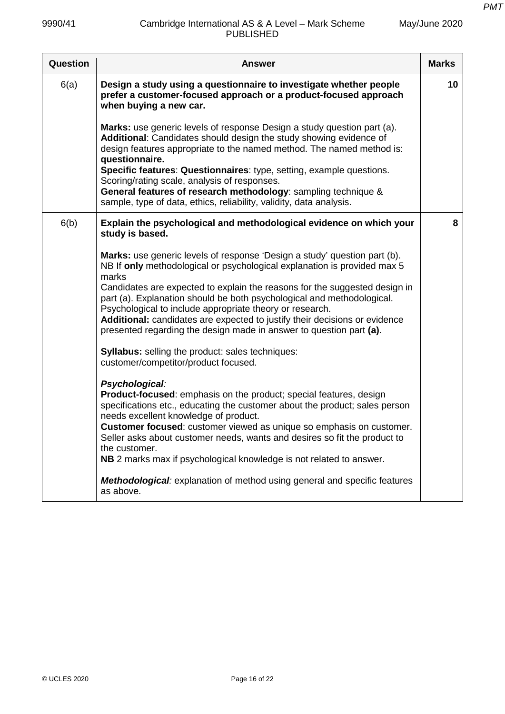| Question | <b>Answer</b>                                                                                                                                                                                                                                                                                                                                                                                                                                                                                                                           | <b>Marks</b> |
|----------|-----------------------------------------------------------------------------------------------------------------------------------------------------------------------------------------------------------------------------------------------------------------------------------------------------------------------------------------------------------------------------------------------------------------------------------------------------------------------------------------------------------------------------------------|--------------|
| 6(a)     | Design a study using a questionnaire to investigate whether people<br>prefer a customer-focused approach or a product-focused approach<br>when buying a new car.                                                                                                                                                                                                                                                                                                                                                                        | 10           |
|          | Marks: use generic levels of response Design a study question part (a).<br>Additional: Candidates should design the study showing evidence of<br>design features appropriate to the named method. The named method is:<br>questionnaire.<br>Specific features: Questionnaires: type, setting, example questions.<br>Scoring/rating scale, analysis of responses.<br>General features of research methodology: sampling technique &<br>sample, type of data, ethics, reliability, validity, data analysis.                               |              |
| 6(b)     | Explain the psychological and methodological evidence on which your<br>study is based.                                                                                                                                                                                                                                                                                                                                                                                                                                                  | 8            |
|          | Marks: use generic levels of response 'Design a study' question part (b).<br>NB If only methodological or psychological explanation is provided max 5<br>marks<br>Candidates are expected to explain the reasons for the suggested design in<br>part (a). Explanation should be both psychological and methodological.<br>Psychological to include appropriate theory or research.<br>Additional: candidates are expected to justify their decisions or evidence<br>presented regarding the design made in answer to question part (a). |              |
|          | <b>Syllabus:</b> selling the product: sales techniques:<br>customer/competitor/product focused.                                                                                                                                                                                                                                                                                                                                                                                                                                         |              |
|          | Psychological:<br><b>Product-focused:</b> emphasis on the product; special features, design<br>specifications etc., educating the customer about the product; sales person<br>needs excellent knowledge of product.<br>Customer focused: customer viewed as unique so emphasis on customer.<br>Seller asks about customer needs, wants and desires so fit the product to<br>the customer.<br>NB 2 marks max if psychological knowledge is not related to answer.                                                                        |              |
|          | <b>Methodological:</b> explanation of method using general and specific features<br>as above.                                                                                                                                                                                                                                                                                                                                                                                                                                           |              |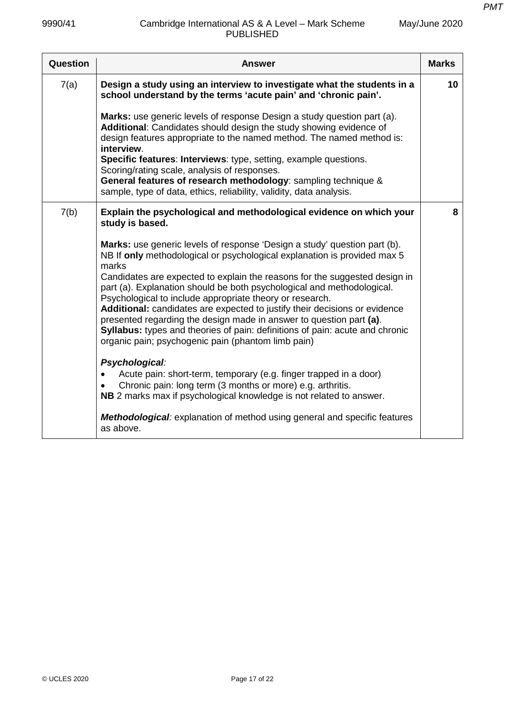| Question | <b>Answer</b>                                                                                                                                                                                                                                                                                                                                                                                                                                                                                                                                                                                                                                                                 | <b>Marks</b> |
|----------|-------------------------------------------------------------------------------------------------------------------------------------------------------------------------------------------------------------------------------------------------------------------------------------------------------------------------------------------------------------------------------------------------------------------------------------------------------------------------------------------------------------------------------------------------------------------------------------------------------------------------------------------------------------------------------|--------------|
| 7(a)     | Design a study using an interview to investigate what the students in a<br>school understand by the terms 'acute pain' and 'chronic pain'.                                                                                                                                                                                                                                                                                                                                                                                                                                                                                                                                    | 10           |
|          | Marks: use generic levels of response Design a study question part (a).<br>Additional: Candidates should design the study showing evidence of<br>design features appropriate to the named method. The named method is:<br>interview.                                                                                                                                                                                                                                                                                                                                                                                                                                          |              |
|          | Specific features: Interviews: type, setting, example questions.<br>Scoring/rating scale, analysis of responses.                                                                                                                                                                                                                                                                                                                                                                                                                                                                                                                                                              |              |
|          | General features of research methodology: sampling technique &<br>sample, type of data, ethics, reliability, validity, data analysis.                                                                                                                                                                                                                                                                                                                                                                                                                                                                                                                                         |              |
| 7(b)     | Explain the psychological and methodological evidence on which your<br>study is based.                                                                                                                                                                                                                                                                                                                                                                                                                                                                                                                                                                                        | 8            |
|          | Marks: use generic levels of response 'Design a study' question part (b).<br>NB If only methodological or psychological explanation is provided max 5<br>marks<br>Candidates are expected to explain the reasons for the suggested design in<br>part (a). Explanation should be both psychological and methodological.<br>Psychological to include appropriate theory or research.<br>Additional: candidates are expected to justify their decisions or evidence<br>presented regarding the design made in answer to question part (a).<br>Syllabus: types and theories of pain: definitions of pain: acute and chronic<br>organic pain; psychogenic pain (phantom limb pain) |              |
|          | Psychological:<br>Acute pain: short-term, temporary (e.g. finger trapped in a door)<br>Chronic pain: long term (3 months or more) e.g. arthritis.<br>NB 2 marks max if psychological knowledge is not related to answer.                                                                                                                                                                                                                                                                                                                                                                                                                                                      |              |
|          | Methodological: explanation of method using general and specific features<br>as above.                                                                                                                                                                                                                                                                                                                                                                                                                                                                                                                                                                                        |              |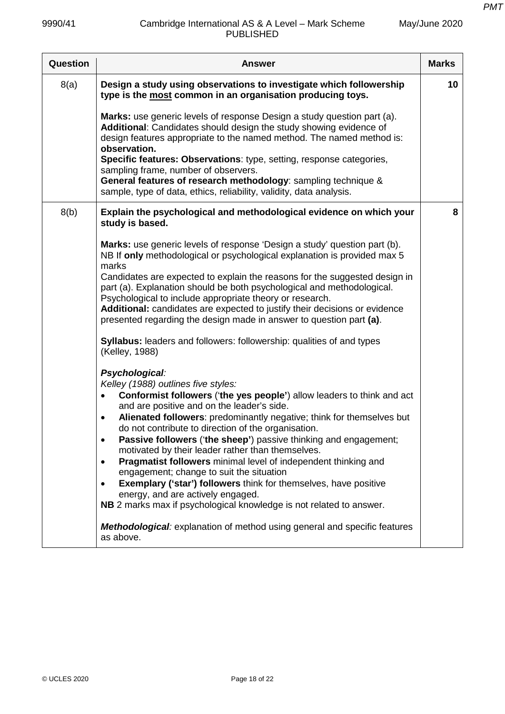| Question | <b>Answer</b>                                                                                                                                                                                                                                                                                                                                                                                                                                                                                                                                                                                                                                                                                                                                                                                                                                                                                                                                                                                                                                                                                                                                                                                                                                                                                                                                                                                                                                                                                                                                              | <b>Marks</b> |
|----------|------------------------------------------------------------------------------------------------------------------------------------------------------------------------------------------------------------------------------------------------------------------------------------------------------------------------------------------------------------------------------------------------------------------------------------------------------------------------------------------------------------------------------------------------------------------------------------------------------------------------------------------------------------------------------------------------------------------------------------------------------------------------------------------------------------------------------------------------------------------------------------------------------------------------------------------------------------------------------------------------------------------------------------------------------------------------------------------------------------------------------------------------------------------------------------------------------------------------------------------------------------------------------------------------------------------------------------------------------------------------------------------------------------------------------------------------------------------------------------------------------------------------------------------------------------|--------------|
| 8(a)     | Design a study using observations to investigate which followership<br>type is the most common in an organisation producing toys.                                                                                                                                                                                                                                                                                                                                                                                                                                                                                                                                                                                                                                                                                                                                                                                                                                                                                                                                                                                                                                                                                                                                                                                                                                                                                                                                                                                                                          | 10           |
|          | Marks: use generic levels of response Design a study question part (a).<br>Additional: Candidates should design the study showing evidence of<br>design features appropriate to the named method. The named method is:<br>observation.<br>Specific features: Observations: type, setting, response categories,<br>sampling frame, number of observers.<br>General features of research methodology: sampling technique &<br>sample, type of data, ethics, reliability, validity, data analysis.                                                                                                                                                                                                                                                                                                                                                                                                                                                                                                                                                                                                                                                                                                                                                                                                                                                                                                                                                                                                                                                            |              |
| 8(b)     | Explain the psychological and methodological evidence on which your<br>study is based.                                                                                                                                                                                                                                                                                                                                                                                                                                                                                                                                                                                                                                                                                                                                                                                                                                                                                                                                                                                                                                                                                                                                                                                                                                                                                                                                                                                                                                                                     | 8            |
|          | Marks: use generic levels of response 'Design a study' question part (b).<br>NB If only methodological or psychological explanation is provided max 5<br>marks<br>Candidates are expected to explain the reasons for the suggested design in<br>part (a). Explanation should be both psychological and methodological.<br>Psychological to include appropriate theory or research.<br>Additional: candidates are expected to justify their decisions or evidence<br>presented regarding the design made in answer to question part (a).<br><b>Syllabus:</b> leaders and followers: followership: qualities of and types<br>(Kelley, 1988)<br>Psychological:<br>Kelley (1988) outlines five styles:<br>Conformist followers ('the yes people') allow leaders to think and act<br>$\bullet$<br>and are positive and on the leader's side.<br>Alienated followers: predominantly negative; think for themselves but<br>$\bullet$<br>do not contribute to direction of the organisation.<br><b>Passive followers ('the sheep')</b> passive thinking and engagement;<br>$\bullet$<br>motivated by their leader rather than themselves.<br>Pragmatist followers minimal level of independent thinking and<br>$\bullet$<br>engagement; change to suit the situation<br>Exemplary ('star') followers think for themselves, have positive<br>$\bullet$<br>energy, and are actively engaged.<br>NB 2 marks max if psychological knowledge is not related to answer.<br><b>Methodological:</b> explanation of method using general and specific features<br>as above. |              |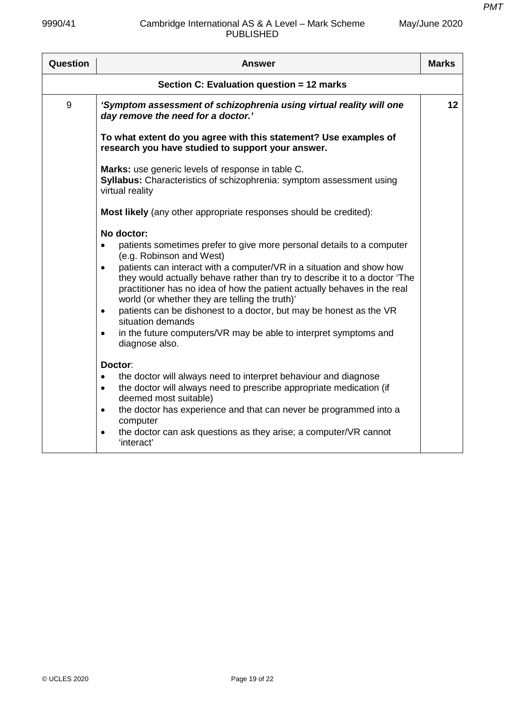| Question                                  | Answer                                                                                                                                                                                                                                                                                                                                                                                                                                                                                                                                                                                                                                   | <b>Marks</b> |
|-------------------------------------------|------------------------------------------------------------------------------------------------------------------------------------------------------------------------------------------------------------------------------------------------------------------------------------------------------------------------------------------------------------------------------------------------------------------------------------------------------------------------------------------------------------------------------------------------------------------------------------------------------------------------------------------|--------------|
| Section C: Evaluation question = 12 marks |                                                                                                                                                                                                                                                                                                                                                                                                                                                                                                                                                                                                                                          |              |
| 9                                         | 'Symptom assessment of schizophrenia using virtual reality will one<br>day remove the need for a doctor.'                                                                                                                                                                                                                                                                                                                                                                                                                                                                                                                                | 12           |
|                                           | To what extent do you agree with this statement? Use examples of<br>research you have studied to support your answer.                                                                                                                                                                                                                                                                                                                                                                                                                                                                                                                    |              |
|                                           | Marks: use generic levels of response in table C.<br>Syllabus: Characteristics of schizophrenia: symptom assessment using<br>virtual reality                                                                                                                                                                                                                                                                                                                                                                                                                                                                                             |              |
|                                           | <b>Most likely</b> (any other appropriate responses should be credited):                                                                                                                                                                                                                                                                                                                                                                                                                                                                                                                                                                 |              |
|                                           | No doctor:<br>patients sometimes prefer to give more personal details to a computer<br>$\bullet$<br>(e.g. Robinson and West)<br>patients can interact with a computer/VR in a situation and show how<br>$\bullet$<br>they would actually behave rather than try to describe it to a doctor 'The<br>practitioner has no idea of how the patient actually behaves in the real<br>world (or whether they are telling the truth)'<br>patients can be dishonest to a doctor, but may be honest as the VR<br>$\bullet$<br>situation demands<br>in the future computers/VR may be able to interpret symptoms and<br>$\bullet$<br>diagnose also. |              |
|                                           | Doctor:<br>the doctor will always need to interpret behaviour and diagnose<br>$\bullet$<br>the doctor will always need to prescribe appropriate medication (if<br>$\bullet$<br>deemed most suitable)<br>the doctor has experience and that can never be programmed into a<br>$\bullet$<br>computer<br>the doctor can ask questions as they arise; a computer/VR cannot<br>$\bullet$<br>'interact'                                                                                                                                                                                                                                        |              |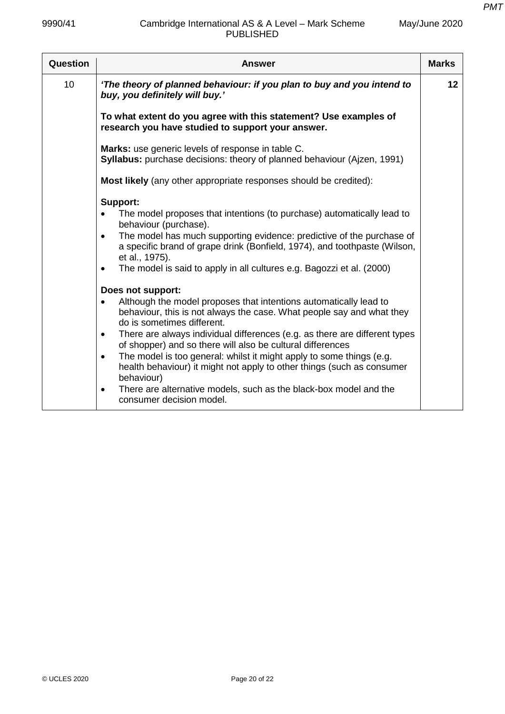| Question | Answer                                                                                                                                                                                                                                                                                                                                                                                                                                                                                                                                                                                                                                            | <b>Marks</b> |
|----------|---------------------------------------------------------------------------------------------------------------------------------------------------------------------------------------------------------------------------------------------------------------------------------------------------------------------------------------------------------------------------------------------------------------------------------------------------------------------------------------------------------------------------------------------------------------------------------------------------------------------------------------------------|--------------|
| 10       | 'The theory of planned behaviour: if you plan to buy and you intend to<br>buy, you definitely will buy.'                                                                                                                                                                                                                                                                                                                                                                                                                                                                                                                                          | 12           |
|          | To what extent do you agree with this statement? Use examples of<br>research you have studied to support your answer.                                                                                                                                                                                                                                                                                                                                                                                                                                                                                                                             |              |
|          | <b>Marks:</b> use generic levels of response in table C.<br>Syllabus: purchase decisions: theory of planned behaviour (Ajzen, 1991)                                                                                                                                                                                                                                                                                                                                                                                                                                                                                                               |              |
|          | Most likely (any other appropriate responses should be credited):                                                                                                                                                                                                                                                                                                                                                                                                                                                                                                                                                                                 |              |
|          | Support:<br>The model proposes that intentions (to purchase) automatically lead to<br>behaviour (purchase).<br>The model has much supporting evidence: predictive of the purchase of<br>$\bullet$<br>a specific brand of grape drink (Bonfield, 1974), and toothpaste (Wilson,<br>et al., 1975).<br>The model is said to apply in all cultures e.g. Bagozzi et al. (2000)<br>$\bullet$                                                                                                                                                                                                                                                            |              |
|          | Does not support:<br>Although the model proposes that intentions automatically lead to<br>behaviour, this is not always the case. What people say and what they<br>do is sometimes different.<br>There are always individual differences (e.g. as there are different types<br>$\bullet$<br>of shopper) and so there will also be cultural differences<br>The model is too general: whilst it might apply to some things (e.g.<br>$\bullet$<br>health behaviour) it might not apply to other things (such as consumer<br>behaviour)<br>There are alternative models, such as the black-box model and the<br>$\bullet$<br>consumer decision model. |              |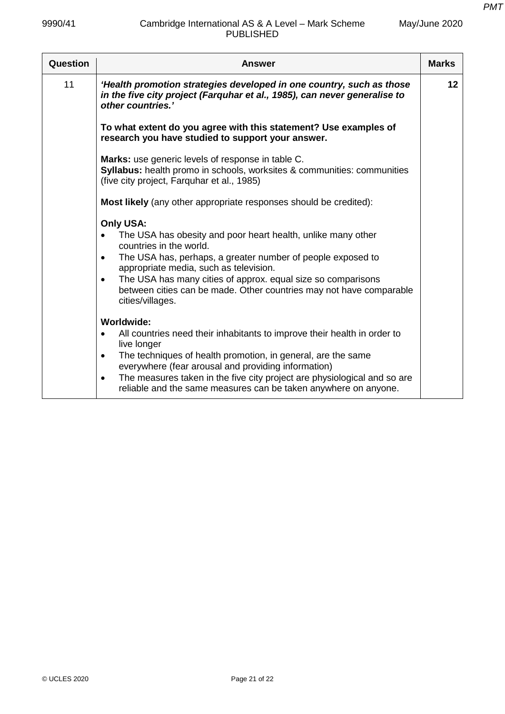| Question | Answer                                                                                                                                                                                                                                                                                                                                                                                                                    | <b>Marks</b> |
|----------|---------------------------------------------------------------------------------------------------------------------------------------------------------------------------------------------------------------------------------------------------------------------------------------------------------------------------------------------------------------------------------------------------------------------------|--------------|
| 11       | 'Health promotion strategies developed in one country, such as those<br>in the five city project (Farquhar et al., 1985), can never generalise to<br>other countries.'                                                                                                                                                                                                                                                    | 12           |
|          | To what extent do you agree with this statement? Use examples of<br>research you have studied to support your answer.                                                                                                                                                                                                                                                                                                     |              |
|          | Marks: use generic levels of response in table C.<br>Syllabus: health promo in schools, worksites & communities: communities<br>(five city project, Farguhar et al., 1985)                                                                                                                                                                                                                                                |              |
|          | Most likely (any other appropriate responses should be credited):                                                                                                                                                                                                                                                                                                                                                         |              |
|          | Only USA:<br>The USA has obesity and poor heart health, unlike many other<br>countries in the world.<br>The USA has, perhaps, a greater number of people exposed to<br>$\bullet$<br>appropriate media, such as television.<br>The USA has many cities of approx. equal size so comparisons<br>$\bullet$<br>between cities can be made. Other countries may not have comparable<br>cities/villages.                        |              |
|          | <b>Worldwide:</b><br>All countries need their inhabitants to improve their health in order to<br>$\bullet$<br>live longer<br>The techniques of health promotion, in general, are the same<br>$\bullet$<br>everywhere (fear arousal and providing information)<br>The measures taken in the five city project are physiological and so are<br>$\bullet$<br>reliable and the same measures can be taken anywhere on anyone. |              |